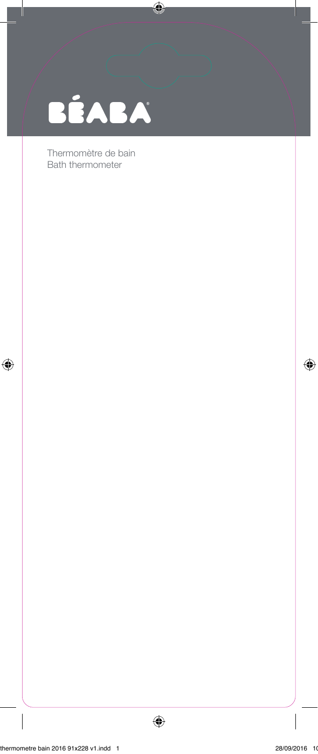| BÉABA |  |
|-------|--|

Thermomètre de bain Bath thermometer

 $\bigoplus$ 

 $\bigoplus$ 

 $\overline{\phantom{a}}$ 

I